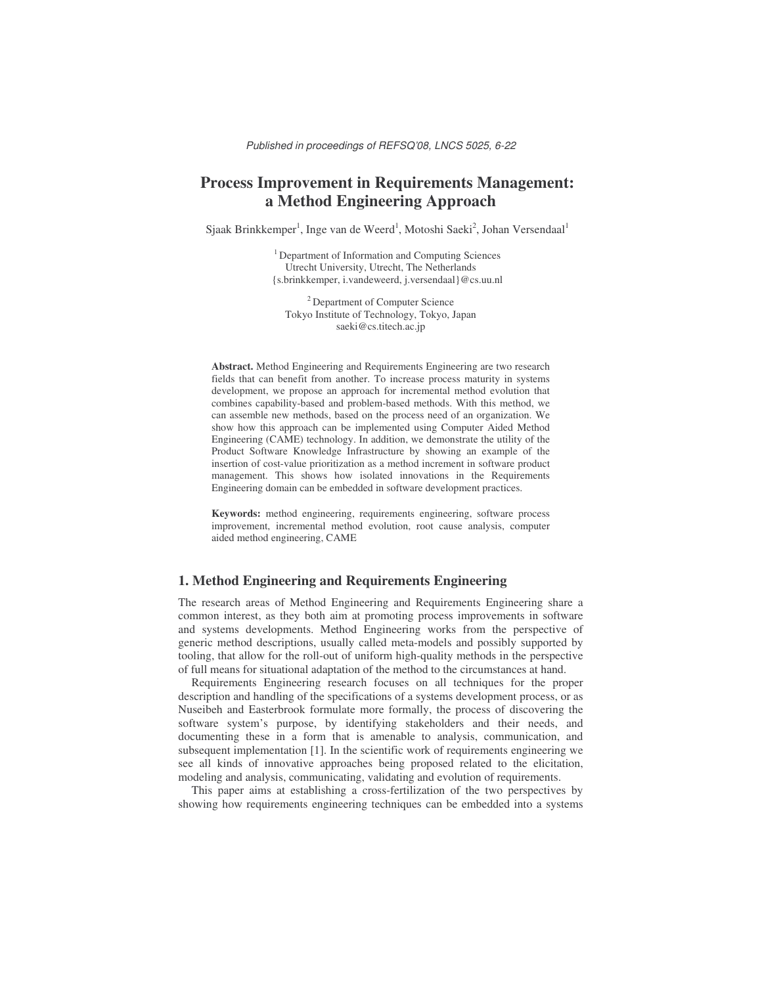# **Process Improvement in Requirements Management: a Method Engineering Approach**

Sjaak Brinkkemper<sup>1</sup>, Inge van de Weerd<sup>1</sup>, Motoshi Saeki<sup>2</sup>, Johan Versendaal<sup>1</sup>

<sup>1</sup> Department of Information and Computing Sciences Utrecht University, Utrecht, The Netherlands {s.brinkkemper, i.vandeweerd, j.versendaal}@cs.uu.nl

<sup>2</sup> Department of Computer Science Tokyo Institute of Technology, Tokyo, Japan saeki@cs.titech.ac.jp

**Abstract.** Method Engineering and Requirements Engineering are two research fields that can benefit from another. To increase process maturity in systems development, we propose an approach for incremental method evolution that combines capability-based and problem-based methods. With this method, we can assemble new methods, based on the process need of an organization. We show how this approach can be implemented using Computer Aided Method Engineering (CAME) technology. In addition, we demonstrate the utility of the Product Software Knowledge Infrastructure by showing an example of the insertion of cost-value prioritization as a method increment in software product management. This shows how isolated innovations in the Requirements Engineering domain can be embedded in software development practices.

**Keywords:** method engineering, requirements engineering, software process improvement, incremental method evolution, root cause analysis, computer aided method engineering, CAME

## **1. Method Engineering and Requirements Engineering**

The research areas of Method Engineering and Requirements Engineering share a common interest, as they both aim at promoting process improvements in software and systems developments. Method Engineering works from the perspective of generic method descriptions, usually called meta-models and possibly supported by tooling, that allow for the roll-out of uniform high-quality methods in the perspective of full means for situational adaptation of the method to the circumstances at hand.

Requirements Engineering research focuses on all techniques for the proper description and handling of the specifications of a systems development process, or as Nuseibeh and Easterbrook formulate more formally, the process of discovering the software system's purpose, by identifying stakeholders and their needs, and documenting these in a form that is amenable to analysis, communication, and subsequent implementation [1]. In the scientific work of requirements engineering we see all kinds of innovative approaches being proposed related to the elicitation, modeling and analysis, communicating, validating and evolution of requirements.

This paper aims at establishing a cross-fertilization of the two perspectives by showing how requirements engineering techniques can be embedded into a systems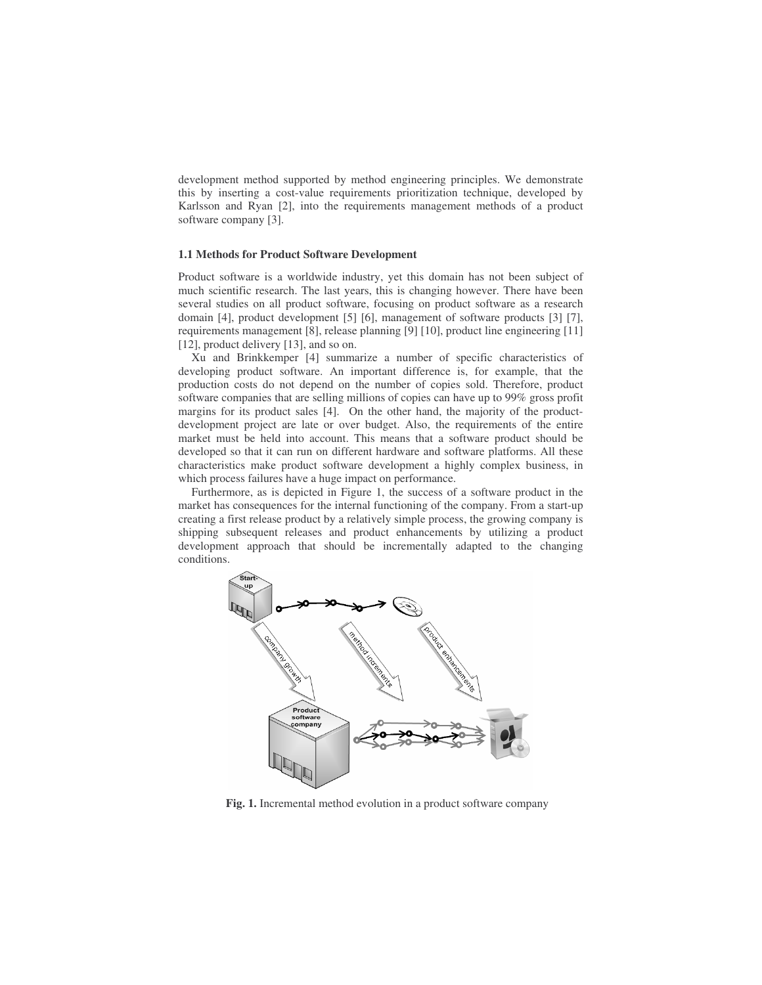development method supported by method engineering principles. We demonstrate this by inserting a cost-value requirements prioritization technique, developed by Karlsson and Ryan [2], into the requirements management methods of a product software company [3].

#### **1.1 Methods for Product Software Development**

Product software is a worldwide industry, yet this domain has not been subject of much scientific research. The last years, this is changing however. There have been several studies on all product software, focusing on product software as a research domain [4], product development [5] [6], management of software products [3] [7], requirements management [8], release planning [9] [10], product line engineering [11] [12], product delivery [13], and so on.

Xu and Brinkkemper [4] summarize a number of specific characteristics of developing product software. An important difference is, for example, that the production costs do not depend on the number of copies sold. Therefore, product software companies that are selling millions of copies can have up to 99% gross profit margins for its product sales [4]. On the other hand, the majority of the productdevelopment project are late or over budget. Also, the requirements of the entire market must be held into account. This means that a software product should be developed so that it can run on different hardware and software platforms. All these characteristics make product software development a highly complex business, in which process failures have a huge impact on performance.

Furthermore, as is depicted in Figure 1, the success of a software product in the market has consequences for the internal functioning of the company. From a start-up creating a first release product by a relatively simple process, the growing company is shipping subsequent releases and product enhancements by utilizing a product development approach that should be incrementally adapted to the changing conditions.



**Fig. 1.** Incremental method evolution in a product software company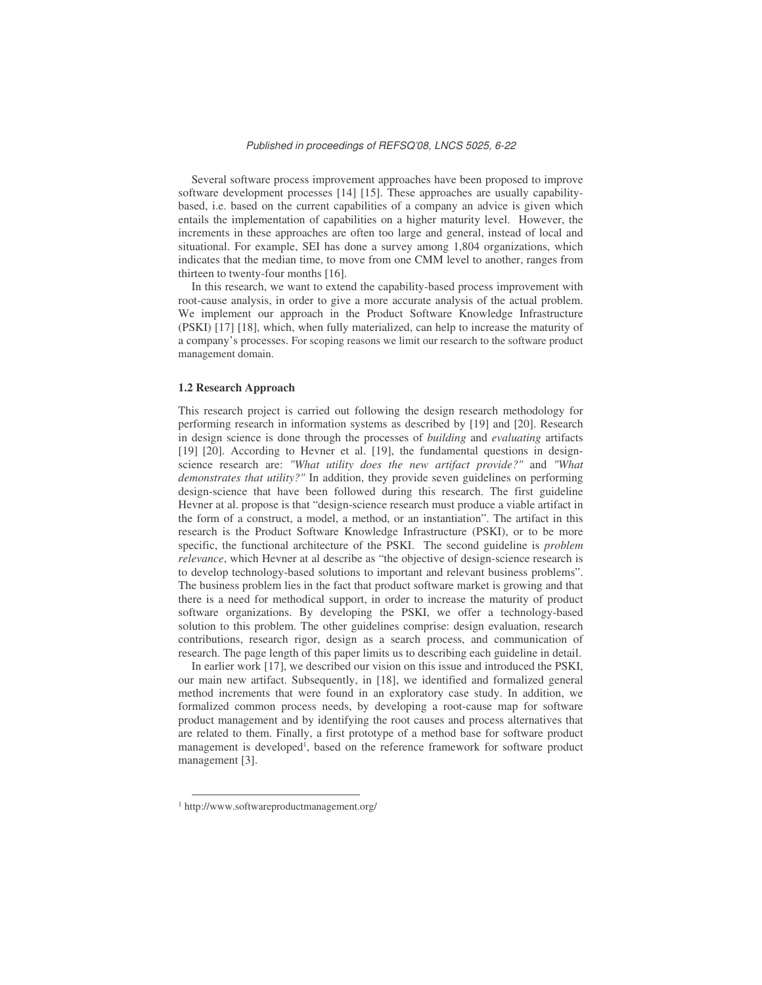Several software process improvement approaches have been proposed to improve software development processes [14] [15]. These approaches are usually capabilitybased, i.e. based on the current capabilities of a company an advice is given which entails the implementation of capabilities on a higher maturity level. However, the increments in these approaches are often too large and general, instead of local and situational. For example, SEI has done a survey among 1,804 organizations, which indicates that the median time, to move from one CMM level to another, ranges from thirteen to twenty-four months [16].

In this research, we want to extend the capability-based process improvement with root-cause analysis, in order to give a more accurate analysis of the actual problem. We implement our approach in the Product Software Knowledge Infrastructure (PSKI) [17] [18], which, when fully materialized, can help to increase the maturity of a company's processes. For scoping reasons we limit our research to the software product management domain.

#### **1.2 Research Approach**

This research project is carried out following the design research methodology for performing research in information systems as described by [19] and [20]. Research in design science is done through the processes of *building* and *evaluating* artifacts [19] [20]. According to Hevner et al. [19], the fundamental questions in designscience research are: *"What utility does the new artifact provide?"* and *"What demonstrates that utility?"* In addition, they provide seven guidelines on performing design-science that have been followed during this research. The first guideline Hevner at al. propose is that "design-science research must produce a viable artifact in the form of a construct, a model, a method, or an instantiation". The artifact in this research is the Product Software Knowledge Infrastructure (PSKI), or to be more specific, the functional architecture of the PSKI. The second guideline is *problem relevance*, which Hevner at al describe as "the objective of design-science research is to develop technology-based solutions to important and relevant business problems". The business problem lies in the fact that product software market is growing and that there is a need for methodical support, in order to increase the maturity of product software organizations. By developing the PSKI, we offer a technology-based solution to this problem. The other guidelines comprise: design evaluation, research contributions, research rigor, design as a search process, and communication of research. The page length of this paper limits us to describing each guideline in detail.

In earlier work [17], we described our vision on this issue and introduced the PSKI, our main new artifact. Subsequently, in [18], we identified and formalized general method increments that were found in an exploratory case study. In addition, we formalized common process needs, by developing a root-cause map for software product management and by identifying the root causes and process alternatives that are related to them. Finally, a first prototype of a method base for software product management is developed<sup>1</sup>, based on the reference framework for software product management [3].

<sup>1</sup> http://www.softwareproductmanagement.org/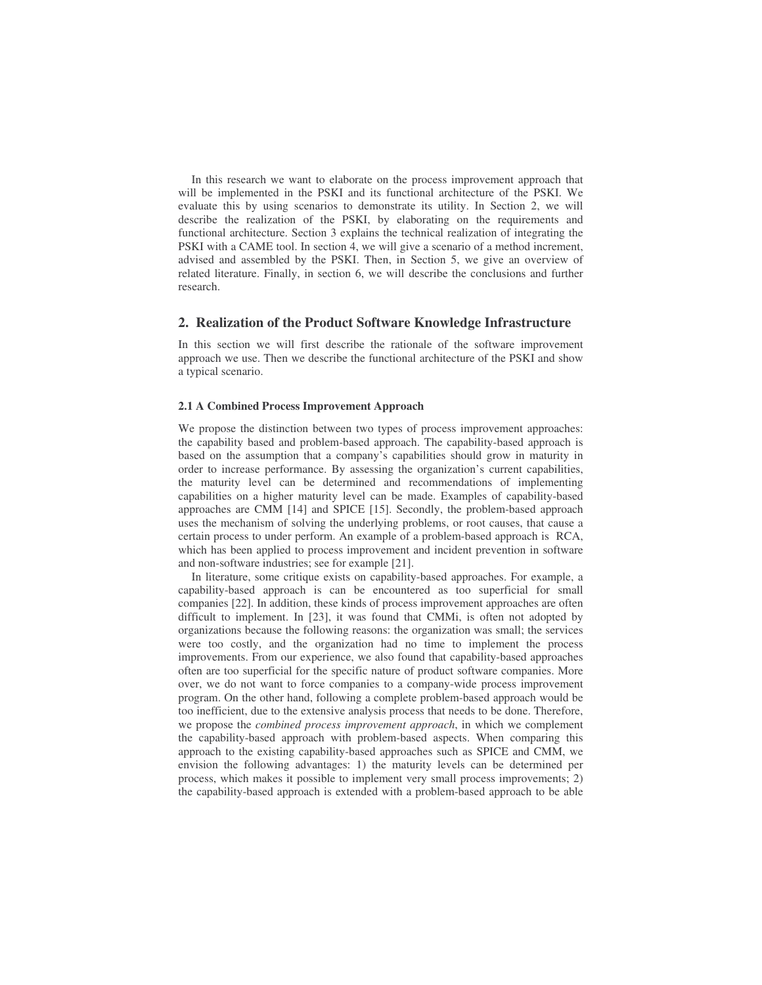In this research we want to elaborate on the process improvement approach that will be implemented in the PSKI and its functional architecture of the PSKI. We evaluate this by using scenarios to demonstrate its utility. In Section 2, we will describe the realization of the PSKI, by elaborating on the requirements and functional architecture. Section 3 explains the technical realization of integrating the PSKI with a CAME tool. In section 4, we will give a scenario of a method increment, advised and assembled by the PSKI. Then, in Section 5, we give an overview of related literature. Finally, in section 6, we will describe the conclusions and further research.

### **2. Realization of the Product Software Knowledge Infrastructure**

In this section we will first describe the rationale of the software improvement approach we use. Then we describe the functional architecture of the PSKI and show a typical scenario.

#### **2.1 A Combined Process Improvement Approach**

We propose the distinction between two types of process improvement approaches: the capability based and problem-based approach. The capability-based approach is based on the assumption that a company's capabilities should grow in maturity in order to increase performance. By assessing the organization's current capabilities, the maturity level can be determined and recommendations of implementing capabilities on a higher maturity level can be made. Examples of capability-based approaches are CMM [14] and SPICE [15]. Secondly, the problem-based approach uses the mechanism of solving the underlying problems, or root causes, that cause a certain process to under perform. An example of a problem-based approach is RCA, which has been applied to process improvement and incident prevention in software and non-software industries; see for example [21].

In literature, some critique exists on capability-based approaches. For example, a capability-based approach is can be encountered as too superficial for small companies [22]. In addition, these kinds of process improvement approaches are often difficult to implement. In [23], it was found that CMMi, is often not adopted by organizations because the following reasons: the organization was small; the services were too costly, and the organization had no time to implement the process improvements. From our experience, we also found that capability-based approaches often are too superficial for the specific nature of product software companies. More over, we do not want to force companies to a company-wide process improvement program. On the other hand, following a complete problem-based approach would be too inefficient, due to the extensive analysis process that needs to be done. Therefore, we propose the *combined process improvement approach*, in which we complement the capability-based approach with problem-based aspects. When comparing this approach to the existing capability-based approaches such as SPICE and CMM, we envision the following advantages: 1) the maturity levels can be determined per process, which makes it possible to implement very small process improvements; 2) the capability-based approach is extended with a problem-based approach to be able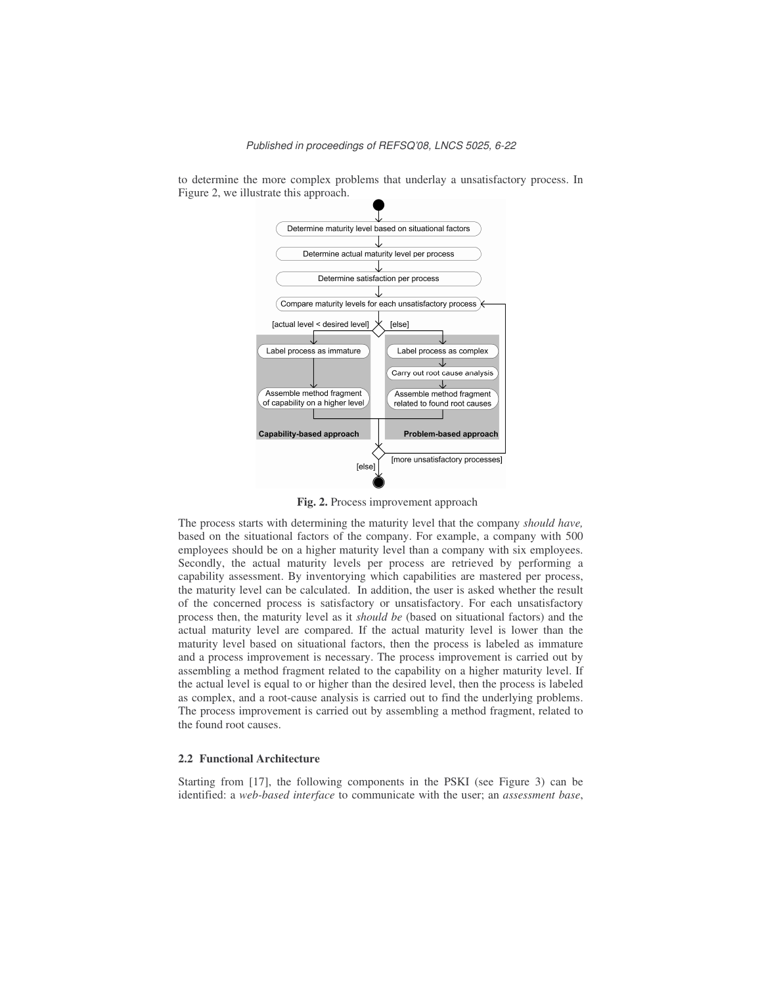

to determine the more complex problems that underlay a unsatisfactory process. In Figure 2, we illustrate this approach.

**Fig. 2.** Process improvement approach

The process starts with determining the maturity level that the company *should have,* based on the situational factors of the company. For example, a company with 500 employees should be on a higher maturity level than a company with six employees. Secondly, the actual maturity levels per process are retrieved by performing a capability assessment. By inventorying which capabilities are mastered per process, the maturity level can be calculated. In addition, the user is asked whether the result of the concerned process is satisfactory or unsatisfactory. For each unsatisfactory process then, the maturity level as it *should be* (based on situational factors) and the actual maturity level are compared. If the actual maturity level is lower than the maturity level based on situational factors, then the process is labeled as immature and a process improvement is necessary. The process improvement is carried out by assembling a method fragment related to the capability on a higher maturity level. If the actual level is equal to or higher than the desired level, then the process is labeled as complex, and a root-cause analysis is carried out to find the underlying problems. The process improvement is carried out by assembling a method fragment, related to the found root causes.

#### **2.2 Functional Architecture**

Starting from [17], the following components in the PSKI (see Figure 3) can be identified: a *web-based interface* to communicate with the user; an *assessment base*,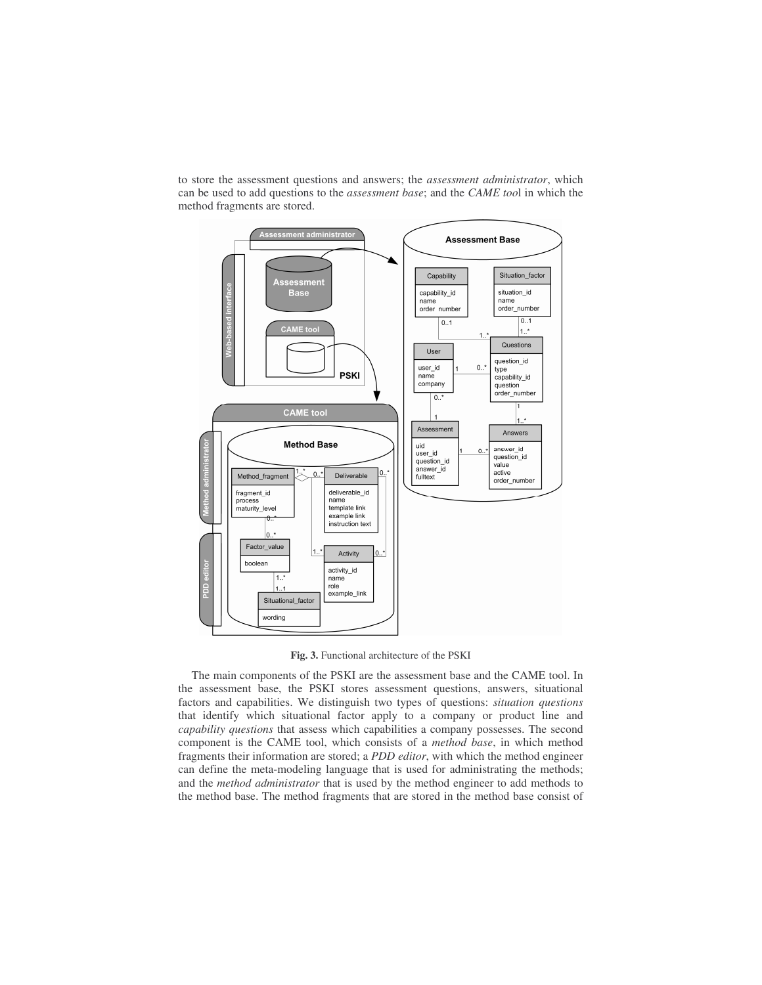to store the assessment questions and answers; the *assessment administrator*, which can be used to add questions to the *assessment base*; and the *CAME too*l in which the method fragments are stored.



**Fig. 3.** Functional architecture of the PSKI

The main components of the PSKI are the assessment base and the CAME tool. In the assessment base, the PSKI stores assessment questions, answers, situational factors and capabilities. We distinguish two types of questions: *situation questions* that identify which situational factor apply to a company or product line and *capability questions* that assess which capabilities a company possesses. The second component is the CAME tool, which consists of a *method base*, in which method fragments their information are stored; a *PDD editor*, with which the method engineer can define the meta-modeling language that is used for administrating the methods; and the *method administrator* that is used by the method engineer to add methods to the method base. The method fragments that are stored in the method base consist of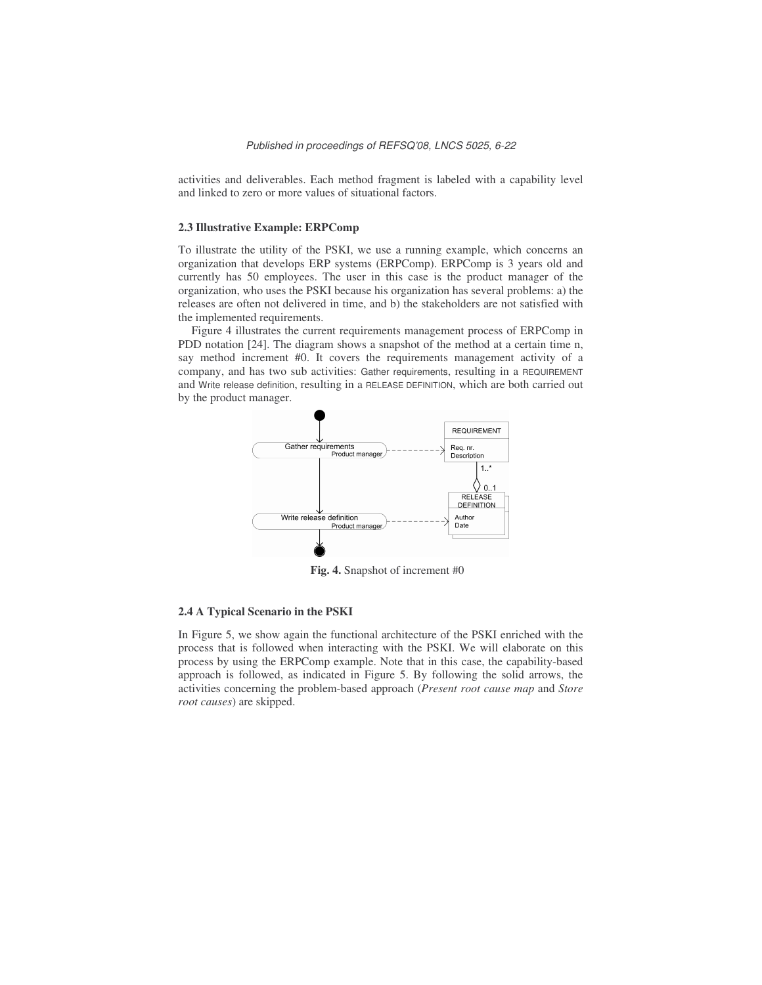activities and deliverables. Each method fragment is labeled with a capability level and linked to zero or more values of situational factors.

#### **2.3 Illustrative Example: ERPComp**

To illustrate the utility of the PSKI, we use a running example, which concerns an organization that develops ERP systems (ERPComp). ERPComp is 3 years old and currently has 50 employees. The user in this case is the product manager of the organization, who uses the PSKI because his organization has several problems: a) the releases are often not delivered in time, and b) the stakeholders are not satisfied with the implemented requirements.

Figure 4 illustrates the current requirements management process of ERPComp in PDD notation [24]. The diagram shows a snapshot of the method at a certain time n, say method increment #0. It covers the requirements management activity of a company, and has two sub activities: Gather requirements, resulting in a REQUIREMENT and Write release definition, resulting in a RELEASE DEFINITION, which are both carried out by the product manager.



**Fig. 4.** Snapshot of increment #0

#### **2.4 A Typical Scenario in the PSKI**

In Figure 5, we show again the functional architecture of the PSKI enriched with the process that is followed when interacting with the PSKI. We will elaborate on this process by using the ERPComp example. Note that in this case, the capability-based approach is followed, as indicated in Figure 5. By following the solid arrows, the activities concerning the problem-based approach (*Present root cause map* and *Store root causes*) are skipped.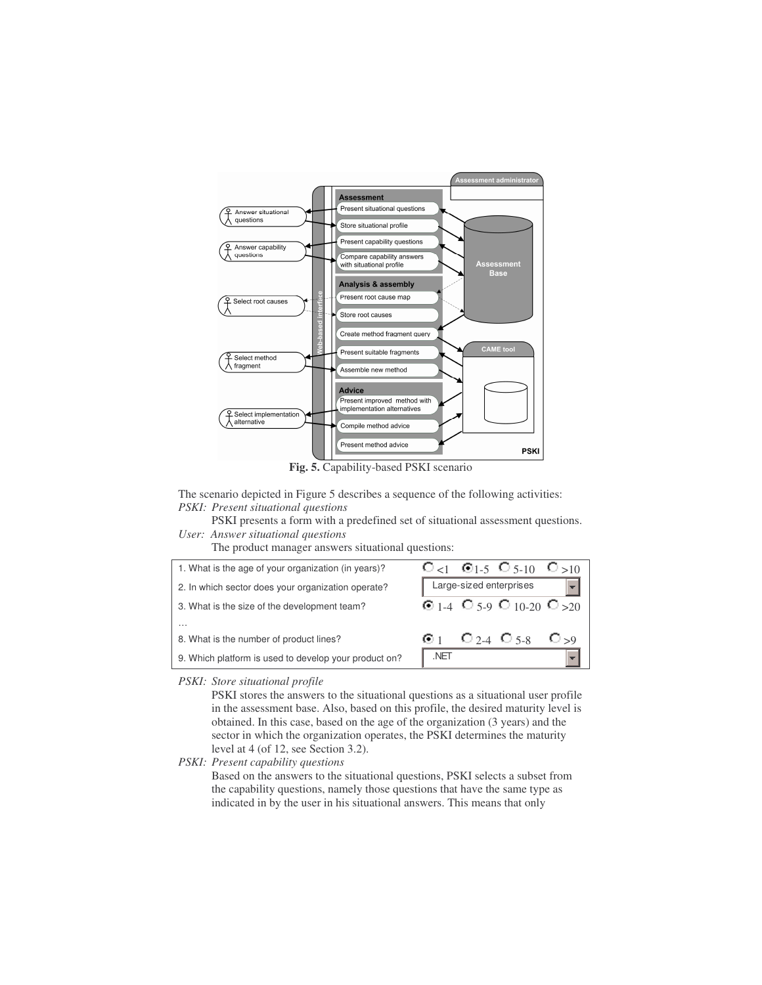

**Fig. 5.** Capability-based PSKI scenario

The scenario depicted in Figure 5 describes a sequence of the following activities: *PSKI: Present situational questions*

PSKI presents a form with a predefined set of situational assessment questions. *User: Answer situational questions*

The product manager answers situational questions:

| 1. What is the age of your organization (in years)?   | $O_{\leq 1}$ $O_{1-5}$ $O_{5-10}$ $O_{>10}$         |
|-------------------------------------------------------|-----------------------------------------------------|
| 2. In which sector does your organization operate?    | Large-sized enterprises                             |
| 3. What is the size of the development team?          | $\bullet$ 1-4 $\circ$ 5-9 $\circ$ 10-20 $\circ$ >20 |
| $\cdots$                                              |                                                     |
| 8. What is the number of product lines?               | $O_1$ $O_2$ -4 $O_5$ -8<br>$O_{>9}$                 |
| 9. Which platform is used to develop your product on? | .NET                                                |

*PSKI: Store situational profile*

PSKI stores the answers to the situational questions as a situational user profile in the assessment base. Also, based on this profile, the desired maturity level is obtained. In this case, based on the age of the organization (3 years) and the sector in which the organization operates, the PSKI determines the maturity level at 4 (of 12, see Section 3.2).

*PSKI: Present capability questions*

Based on the answers to the situational questions, PSKI selects a subset from the capability questions, namely those questions that have the same type as indicated in by the user in his situational answers. This means that only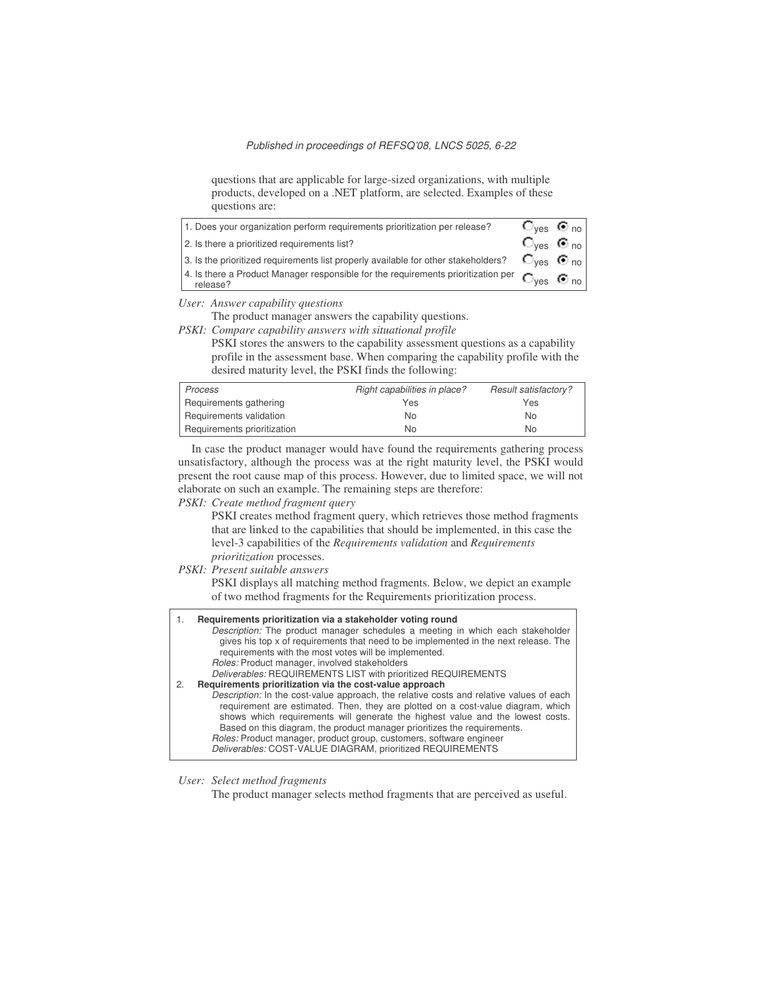questions that are applicable for large-sized organizations, with multiple products, developed on a .NET platform, are selected. Examples of these questions are:

| 1. Does your organization perform requirements prioritization per release?                                                        | $\mathbf{C}_{\text{ves}}$ $\mathbf{C}_{\text{no}}$ |  |
|-----------------------------------------------------------------------------------------------------------------------------------|----------------------------------------------------|--|
| 2. Is there a prioritized requirements list?                                                                                      | $C_{\text{ves}}$ $\odot$ no                        |  |
| 3. Is the prioritized requirements list properly available for other stakeholders?                                                | $\bigcirc_{\mathsf{ves}}$ $\bigcirc$ no            |  |
| 14. Is there a Product Manager responsible for the requirements prioritization per $\bigcirc_{\text{yes}} \bullet$ no<br>release? |                                                    |  |

#### *User: Answer capability questions*

The product manager answers the capability questions.

*PSKI: Compare capability answers with situational profile*

PSKI stores the answers to the capability assessment questions as a capability profile in the assessment base. When comparing the capability profile with the desired maturity level, the PSKI finds the following:

| Process                     | Right capabilities in place? | Result satisfactory? |
|-----------------------------|------------------------------|----------------------|
| Requirements gathering      | Yes                          | Yes                  |
| Requirements validation     | No                           | No                   |
| Requirements prioritization | No                           | No                   |

In case the product manager would have found the requirements gathering process unsatisfactory, although the process was at the right maturity level, the PSKI would present the root cause map of this process. However, due to limited space, we will not elaborate on such an example. The remaining steps are therefore:

*PSKI: Create method fragment query*

PSKI creates method fragment query, which retrieves those method fragments that are linked to the capabilities that should be implemented, in this case the level-3 capabilities of the *Requirements validation* and *Requirements prioritization* processes.

*PSKI: Present suitable answers*

PSKI displays all matching method fragments. Below, we depict an example of two method fragments for the Requirements prioritization process.

|                                                               | Requirements prioritization via a stakeholder voting round<br>Description: The product manager schedules a meeting in which each stakeholder<br>gives his top x of requirements that need to be implemented in the next release. The<br>requirements with the most votes will be implemented.<br>Roles: Product manager, involved stakeholders<br>Deliverables: REQUIREMENTS LIST with prioritized REQUIREMENTS |  |  |  |  |  |
|---------------------------------------------------------------|-----------------------------------------------------------------------------------------------------------------------------------------------------------------------------------------------------------------------------------------------------------------------------------------------------------------------------------------------------------------------------------------------------------------|--|--|--|--|--|
| Requirements prioritization via the cost-value approach<br>2. |                                                                                                                                                                                                                                                                                                                                                                                                                 |  |  |  |  |  |
|                                                               | Description: In the cost-value approach, the relative costs and relative values of each<br>requirement are estimated. Then, they are plotted on a cost-value diagram, which                                                                                                                                                                                                                                     |  |  |  |  |  |
|                                                               | shows which requirements will generate the highest value and the lowest costs.                                                                                                                                                                                                                                                                                                                                  |  |  |  |  |  |
|                                                               | Based on this diagram, the product manager prioritizes the requirements.                                                                                                                                                                                                                                                                                                                                        |  |  |  |  |  |
|                                                               | Roles: Product manager, product group, customers, software engineer                                                                                                                                                                                                                                                                                                                                             |  |  |  |  |  |
|                                                               | Deliverables: COST-VALUE DIAGRAM, prioritized REQUIREMENTS                                                                                                                                                                                                                                                                                                                                                      |  |  |  |  |  |
|                                                               |                                                                                                                                                                                                                                                                                                                                                                                                                 |  |  |  |  |  |

*User: Select method fragments*

The product manager selects method fragments that are perceived as useful.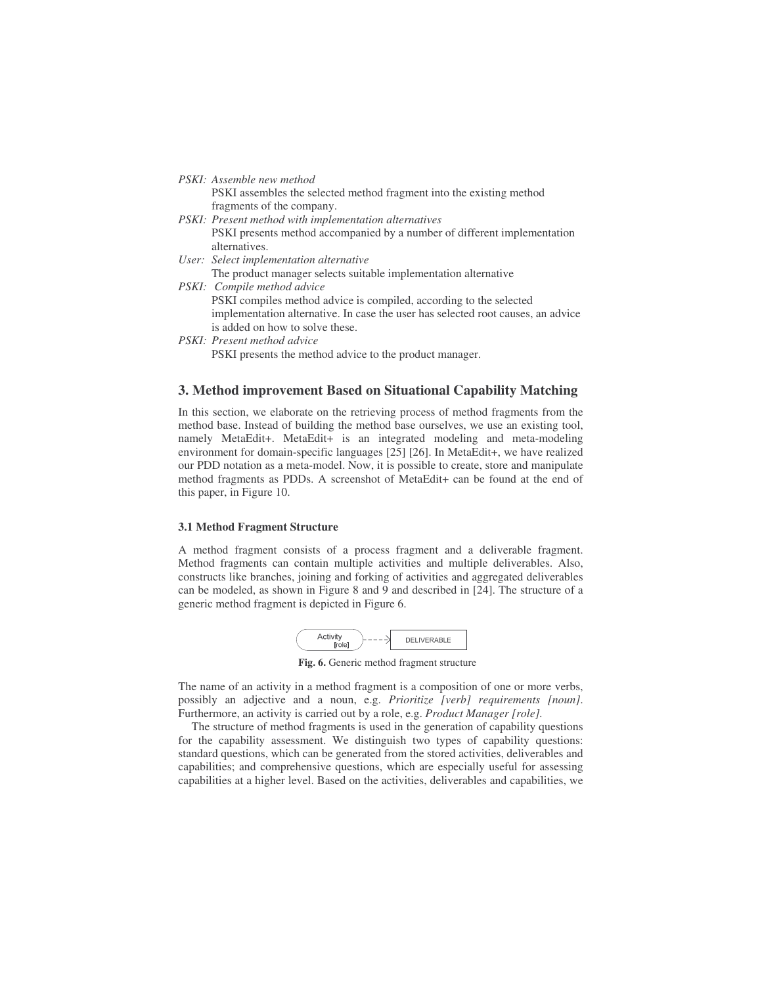| PSKI: Assemble new method                                                        |
|----------------------------------------------------------------------------------|
| PSKI assembles the selected method fragment into the existing method             |
| fragments of the company.                                                        |
| <i>PSKI: Present method with implementation alternatives</i>                     |
| PSKI presents method accompanied by a number of different implementation         |
| alternatives.                                                                    |
| User: Select implementation alternative                                          |
| The product manager selects suitable implementation alternative                  |
| PSKI: Compile method advice                                                      |
| PSKI compiles method advice is compiled, according to the selected               |
| implementation alternative. In case the user has selected root causes, an advice |
| is added on how to solve these.                                                  |
| PSKI: Present method advice                                                      |
| PSKI presents the method advice to the product manager.                          |

## **3. Method improvement Based on Situational Capability Matching**

In this section, we elaborate on the retrieving process of method fragments from the method base. Instead of building the method base ourselves, we use an existing tool, namely MetaEdit+. MetaEdit+ is an integrated modeling and meta-modeling environment for domain-specific languages [25] [26]. In MetaEdit+, we have realized our PDD notation as a meta-model. Now, it is possible to create, store and manipulate method fragments as PDDs. A screenshot of MetaEdit+ can be found at the end of this paper, in Figure 10.

#### **3.1 Method Fragment Structure**

A method fragment consists of a process fragment and a deliverable fragment. Method fragments can contain multiple activities and multiple deliverables. Also, constructs like branches, joining and forking of activities and aggregated deliverables can be modeled, as shown in Figure 8 and 9 and described in [24]. The structure of a generic method fragment is depicted in Figure 6.



**Fig. 6.** Generic method fragment structure

The name of an activity in a method fragment is a composition of one or more verbs, possibly an adjective and a noun, e.g. *Prioritize [verb] requirements [noun]*. Furthermore, an activity is carried out by a role, e.g. *Product Manager [role].*

The structure of method fragments is used in the generation of capability questions for the capability assessment. We distinguish two types of capability questions: standard questions, which can be generated from the stored activities, deliverables and capabilities; and comprehensive questions, which are especially useful for assessing capabilities at a higher level. Based on the activities, deliverables and capabilities, we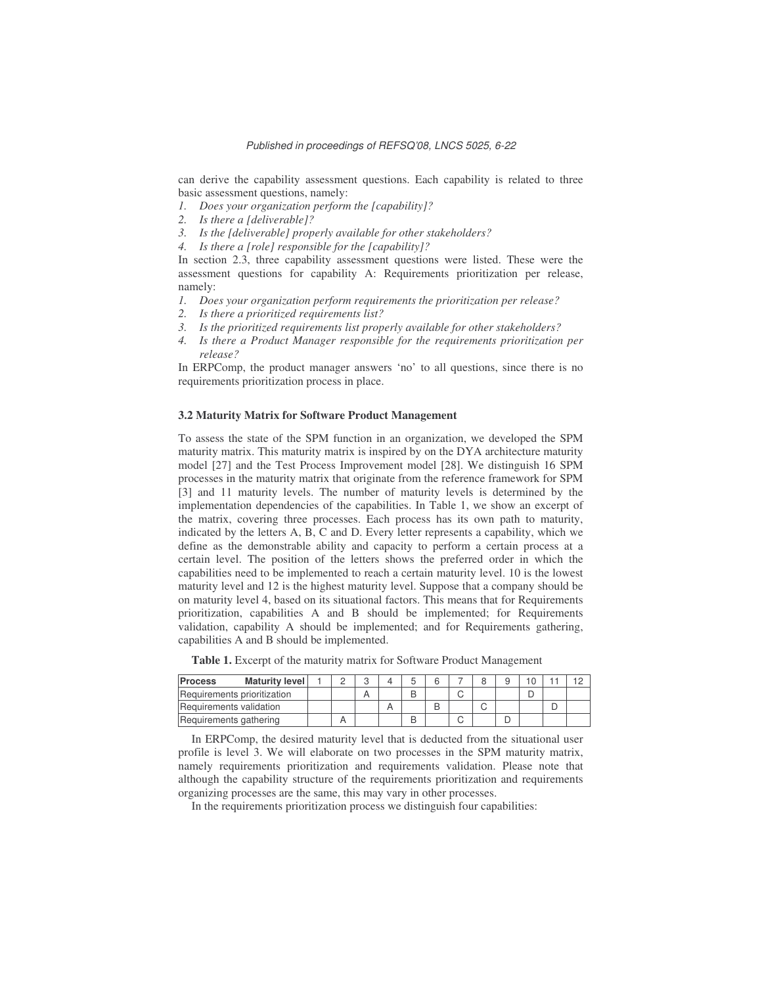can derive the capability assessment questions. Each capability is related to three basic assessment questions, namely:

- *1. Does your organization perform the [capability]?*
- *2. Is there a [deliverable]?*
- *3. Is the [deliverable] properly available for other stakeholders?*
- *4. Is there a [role] responsible for the [capability]?*

In section 2.3, three capability assessment questions were listed. These were the assessment questions for capability A: Requirements prioritization per release, namely:

- *1. Does your organization perform requirements the prioritization per release?*
- *2. Is there a prioritized requirements list?*
- *3. Is the prioritized requirements list properly available for other stakeholders?*
- *4. Is there a Product Manager responsible for the requirements prioritization per release?*

In ERPComp, the product manager answers 'no' to all questions, since there is no requirements prioritization process in place.

#### **3.2 Maturity Matrix for Software Product Management**

To assess the state of the SPM function in an organization, we developed the SPM maturity matrix. This maturity matrix is inspired by on the DYA architecture maturity model [27] and the Test Process Improvement model [28]. We distinguish 16 SPM processes in the maturity matrix that originate from the reference framework for SPM [3] and 11 maturity levels. The number of maturity levels is determined by the implementation dependencies of the capabilities. In Table 1, we show an excerpt of the matrix, covering three processes. Each process has its own path to maturity, indicated by the letters A, B, C and D. Every letter represents a capability, which we define as the demonstrable ability and capacity to perform a certain process at a certain level. The position of the letters shows the preferred order in which the capabilities need to be implemented to reach a certain maturity level. 10 is the lowest maturity level and 12 is the highest maturity level. Suppose that a company should be on maturity level 4, based on its situational factors. This means that for Requirements prioritization, capabilities A and B should be implemented; for Requirements validation, capability A should be implemented; and for Requirements gathering, capabilities A and B should be implemented.

| <b>Process</b>              | <b>Maturity level</b> |  | $\sim$ |  |  |  |  |  |
|-----------------------------|-----------------------|--|--------|--|--|--|--|--|
| Requirements prioritization |                       |  |        |  |  |  |  |  |
| Requirements validation     |                       |  |        |  |  |  |  |  |
| Requirements gathering      |                       |  |        |  |  |  |  |  |

**Table 1.** Excerpt of the maturity matrix for Software Product Management

In ERPComp, the desired maturity level that is deducted from the situational user profile is level 3. We will elaborate on two processes in the SPM maturity matrix, namely requirements prioritization and requirements validation. Please note that although the capability structure of the requirements prioritization and requirements organizing processes are the same, this may vary in other processes.

In the requirements prioritization process we distinguish four capabilities: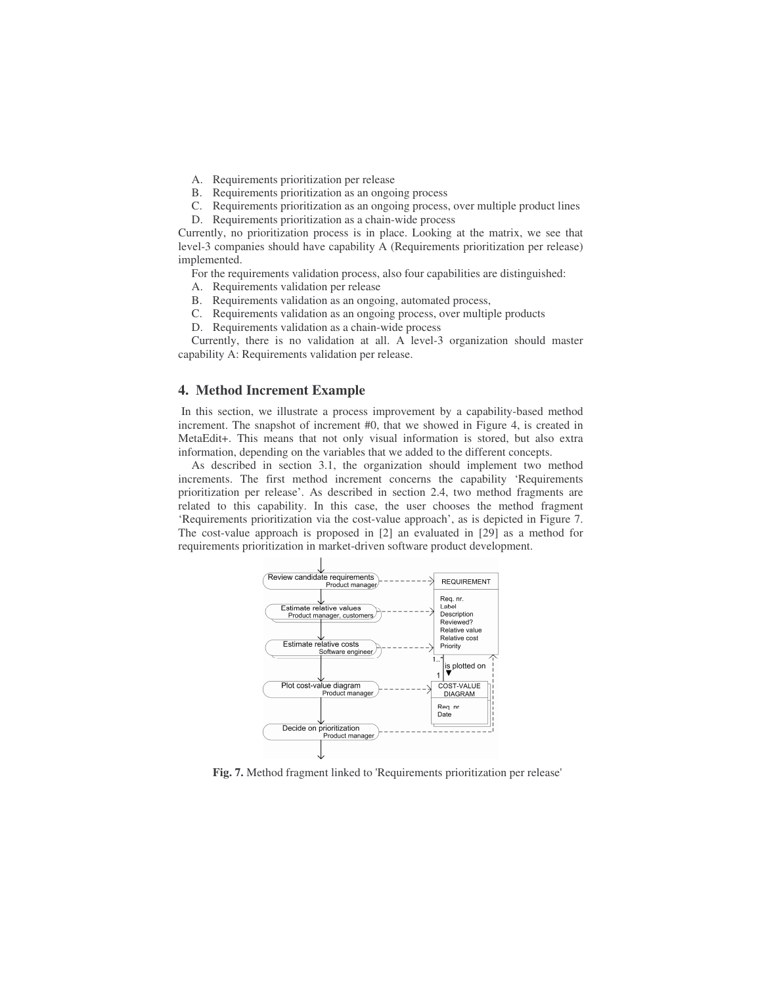- A. Requirements prioritization per release
- B. Requirements prioritization as an ongoing process
- C. Requirements prioritization as an ongoing process, over multiple product lines
- D. Requirements prioritization as a chain-wide process

Currently, no prioritization process is in place. Looking at the matrix, we see that level-3 companies should have capability A (Requirements prioritization per release) implemented.

For the requirements validation process, also four capabilities are distinguished:

- A. Requirements validation per release
- B. Requirements validation as an ongoing, automated process,
- C. Requirements validation as an ongoing process, over multiple products
- D. Requirements validation as a chain-wide process

Currently, there is no validation at all. A level-3 organization should master capability A: Requirements validation per release.

### **4. Method Increment Example**

In this section, we illustrate a process improvement by a capability-based method increment. The snapshot of increment #0, that we showed in Figure 4, is created in MetaEdit+. This means that not only visual information is stored, but also extra information, depending on the variables that we added to the different concepts.

As described in section 3.1, the organization should implement two method increments. The first method increment concerns the capability 'Requirements prioritization per release'. As described in section 2.4, two method fragments are related to this capability. In this case, the user chooses the method fragment 'Requirements prioritization via the cost-value approach', as is depicted in Figure 7. The cost-value approach is proposed in [2] an evaluated in [29] as a method for requirements prioritization in market-driven software product development.



**Fig. 7.** Method fragment linked to 'Requirements prioritization per release'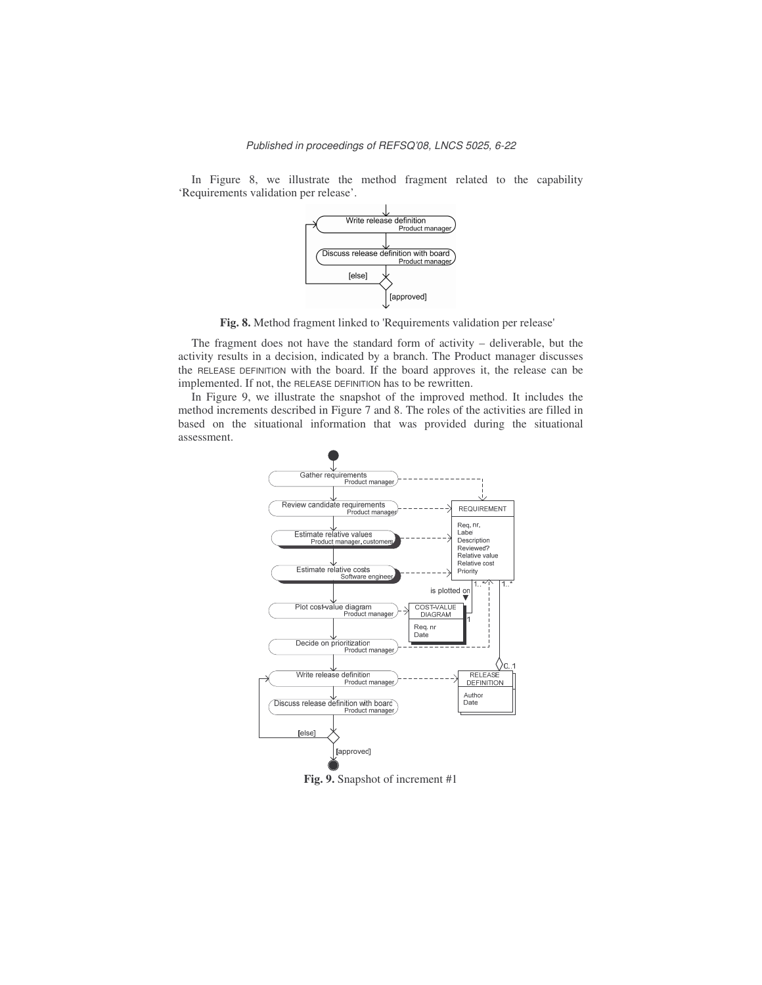In Figure 8, we illustrate the method fragment related to the capability 'Requirements validation per release'.



**Fig. 8.** Method fragment linked to 'Requirements validation per release'

The fragment does not have the standard form of activity – deliverable, but the activity results in a decision, indicated by a branch. The Product manager discusses the RELEASE DEFINITION with the board. If the board approves it, the release can be implemented. If not, the RELEASE DEFINITION has to be rewritten.

In Figure 9, we illustrate the snapshot of the improved method. It includes the method increments described in Figure 7 and 8. The roles of the activities are filled in based on the situational information that was provided during the situational assessment.

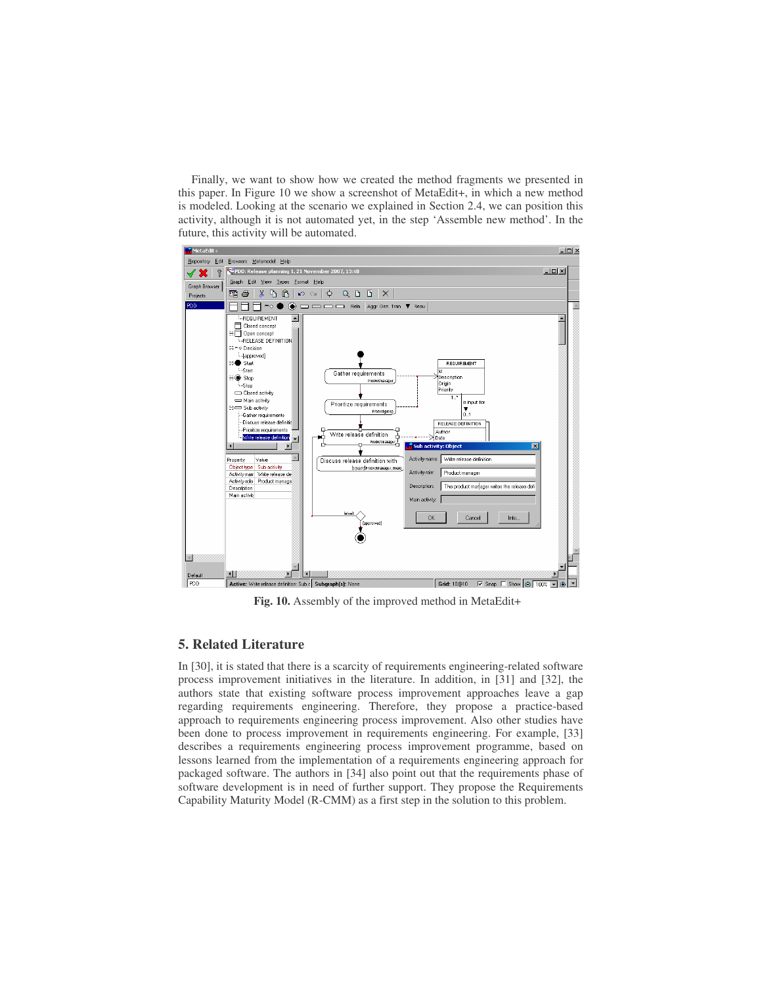Finally, we want to show how we created the method fragments we presented in this paper. In Figure 10 we show a screenshot of MetaEdit+, in which a new method is modeled. Looking at the scenario we explained in Section 2.4, we can position this activity, although it is not automated yet, in the step 'Assemble new method'. In the future, this activity will be automated.



**Fig. 10.** Assembly of the improved method in MetaEdit+

## **5. Related Literature**

In [30], it is stated that there is a scarcity of requirements engineering-related software process improvement initiatives in the literature. In addition, in [31] and [32], the authors state that existing software process improvement approaches leave a gap regarding requirements engineering. Therefore, they propose a practice-based approach to requirements engineering process improvement. Also other studies have been done to process improvement in requirements engineering. For example, [33] describes a requirements engineering process improvement programme, based on lessons learned from the implementation of a requirements engineering approach for packaged software. The authors in [34] also point out that the requirements phase of software development is in need of further support. They propose the Requirements Capability Maturity Model (R-CMM) as a first step in the solution to this problem.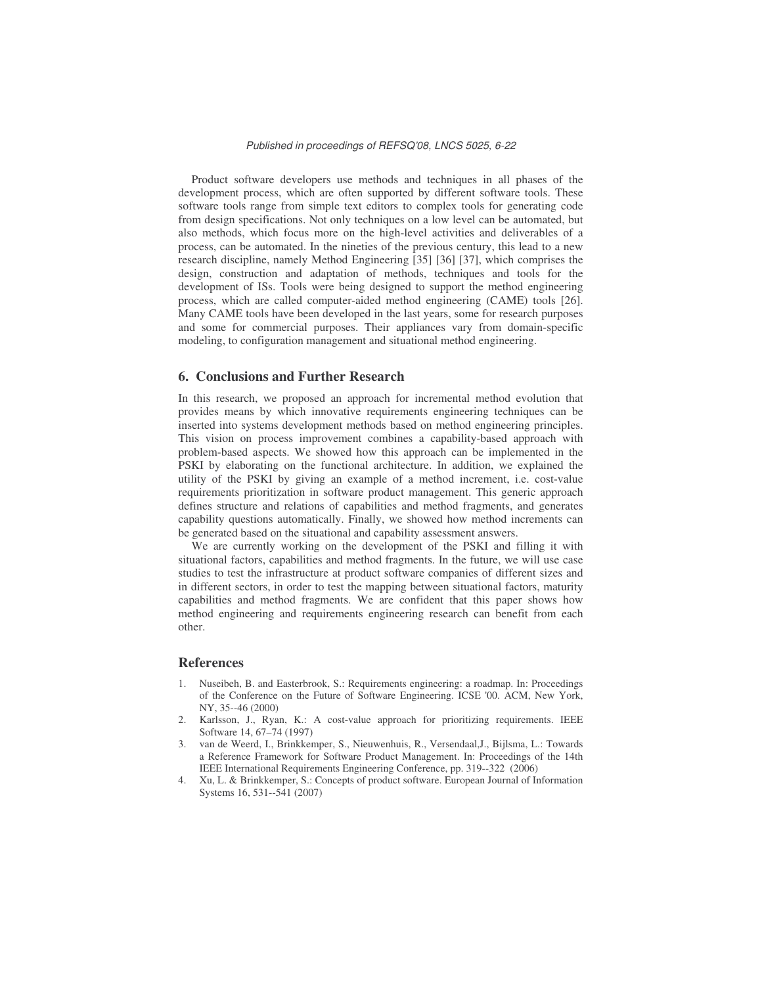Product software developers use methods and techniques in all phases of the development process, which are often supported by different software tools. These software tools range from simple text editors to complex tools for generating code from design specifications. Not only techniques on a low level can be automated, but also methods, which focus more on the high-level activities and deliverables of a process, can be automated. In the nineties of the previous century, this lead to a new research discipline, namely Method Engineering [35] [36] [37], which comprises the design, construction and adaptation of methods, techniques and tools for the development of ISs. Tools were being designed to support the method engineering process, which are called computer-aided method engineering (CAME) tools [26]. Many CAME tools have been developed in the last years, some for research purposes and some for commercial purposes. Their appliances vary from domain-specific modeling, to configuration management and situational method engineering.

### **6. Conclusions and Further Research**

In this research, we proposed an approach for incremental method evolution that provides means by which innovative requirements engineering techniques can be inserted into systems development methods based on method engineering principles. This vision on process improvement combines a capability-based approach with problem-based aspects. We showed how this approach can be implemented in the PSKI by elaborating on the functional architecture. In addition, we explained the utility of the PSKI by giving an example of a method increment, i.e. cost-value requirements prioritization in software product management. This generic approach defines structure and relations of capabilities and method fragments, and generates capability questions automatically. Finally, we showed how method increments can be generated based on the situational and capability assessment answers.

We are currently working on the development of the PSKI and filling it with situational factors, capabilities and method fragments. In the future, we will use case studies to test the infrastructure at product software companies of different sizes and in different sectors, in order to test the mapping between situational factors, maturity capabilities and method fragments. We are confident that this paper shows how method engineering and requirements engineering research can benefit from each other.

## **References**

- 1. Nuseibeh, B. and Easterbrook, S.: Requirements engineering: a roadmap. In: Proceedings of the Conference on the Future of Software Engineering. ICSE '00. ACM, New York, NY, 35--46 (2000)
- 2. Karlsson, J., Ryan, K.: A cost-value approach for prioritizing requirements. IEEE Software 14, 67–74 (1997)
- 3. van de Weerd, I., Brinkkemper, S., Nieuwenhuis, R., Versendaal,J., Bijlsma, L.: Towards a Reference Framework for Software Product Management. In: Proceedings of the 14th IEEE International Requirements Engineering Conference, pp. 319--322 (2006)
- 4. Xu, L. & Brinkkemper, S.: Concepts of product software. European Journal of Information Systems 16, 531--541 (2007)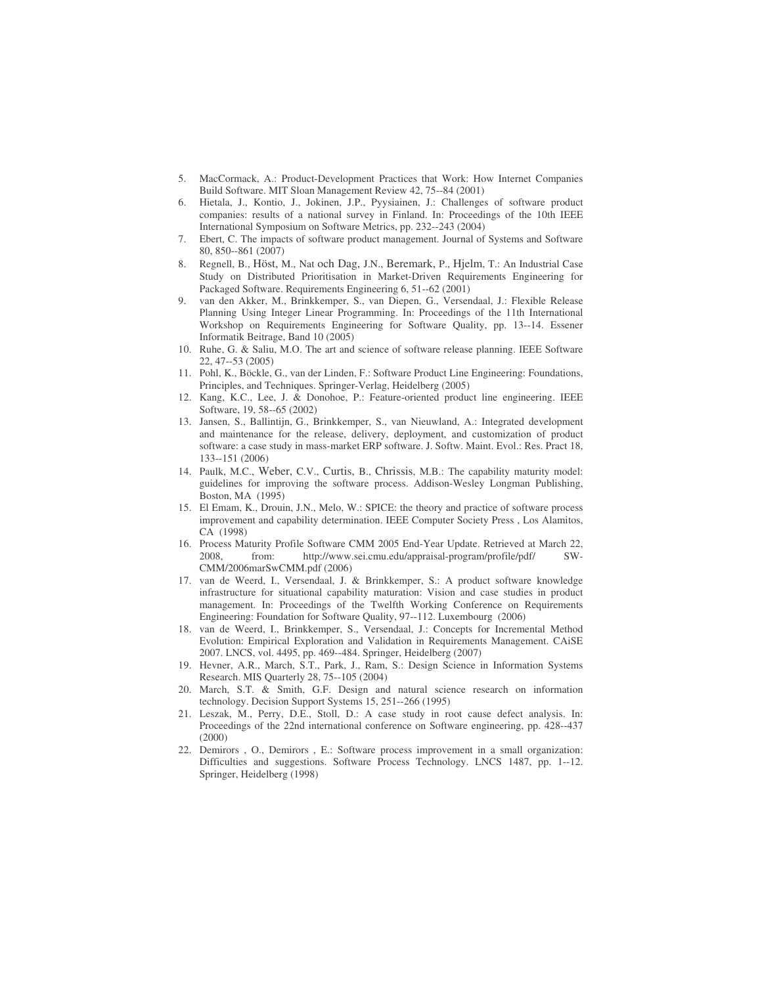- 5. MacCormack, A.: Product-Development Practices that Work: How Internet Companies Build Software. MIT Sloan Management Review 42, 75--84 (2001)
- 6. Hietala, J., Kontio, J., Jokinen, J.P., Pyysiainen, J.: Challenges of software product companies: results of a national survey in Finland. In: Proceedings of the 10th IEEE International Symposium on Software Metrics, pp. 232--243 (2004)
- 7. Ebert, C. The impacts of software product management. Journal of Systems and Software 80, 850--861 (2007)
- 8. Regnell, B., Höst, M., Nat och Dag, J.N., Beremark, P., Hjelm, T.: An Industrial Case Study on Distributed Prioritisation in Market-Driven Requirements Engineering for Packaged Software. Requirements Engineering 6, 51--62 (2001)
- 9. van den Akker, M., Brinkkemper, S., van Diepen, G., Versendaal, J.: Flexible Release Planning Using Integer Linear Programming. In: Proceedings of the 11th International Workshop on Requirements Engineering for Software Quality, pp. 13--14. Essener Informatik Beitrage, Band 10 (2005)
- 10. Ruhe, G. & Saliu, M.O. The art and science of software release planning. IEEE Software 22, 47--53 (2005)
- 11. Pohl, K., Böckle, G., van der Linden, F.: Software Product Line Engineering: Foundations, Principles, and Techniques. Springer-Verlag, Heidelberg (2005)
- 12. Kang, K.C., Lee, J. & Donohoe, P.: Feature-oriented product line engineering. IEEE Software, 19, 58--65 (2002)
- 13. Jansen, S., Ballintijn, G., Brinkkemper, S., van Nieuwland, A.: Integrated development and maintenance for the release, delivery, deployment, and customization of product software: a case study in mass-market ERP software. J. Softw. Maint. Evol.: Res. Pract 18, 133--151 (2006)
- 14. Paulk, M.C., Weber, C.V., Curtis, B., Chrissis, M.B.: The capability maturity model: guidelines for improving the software process. Addison-Wesley Longman Publishing, Boston, MA (1995)
- 15. El Emam, K., Drouin, J.N., Melo, W.: SPICE: the theory and practice of software process improvement and capability determination. IEEE Computer Society Press , Los Alamitos, CA (1998)
- 16. Process Maturity Profile Software CMM 2005 End-Year Update. Retrieved at March 22, 2008, from: http://www.sei.cmu.edu/appraisal-program/profile/pdf/ SW-CMM/2006marSwCMM.pdf (2006)
- 17. van de Weerd, I., Versendaal, J. & Brinkkemper, S.: A product software knowledge infrastructure for situational capability maturation: Vision and case studies in product management. In: Proceedings of the Twelfth Working Conference on Requirements Engineering: Foundation for Software Quality, 97--112. Luxembourg (2006)
- 18. van de Weerd, I., Brinkkemper, S., Versendaal, J.: Concepts for Incremental Method Evolution: Empirical Exploration and Validation in Requirements Management. CAiSE 2007. LNCS, vol. 4495, pp. 469--484. Springer, Heidelberg (2007)
- 19. Hevner, A.R., March, S.T., Park, J., Ram, S.: Design Science in Information Systems Research. MIS Quarterly 28, 75--105 (2004)
- March, S.T. & Smith, G.F. Design and natural science research on information technology. Decision Support Systems 15, 251--266 (1995)
- 21. Leszak, M., Perry, D.E., Stoll, D.: A case study in root cause defect analysis. In: Proceedings of the 22nd international conference on Software engineering, pp. 428--437 (2000)
- 22. Demirors , O., Demirors , E.: Software process improvement in a small organization: Difficulties and suggestions. Software Process Technology. LNCS 1487, pp. 1--12. Springer, Heidelberg (1998)